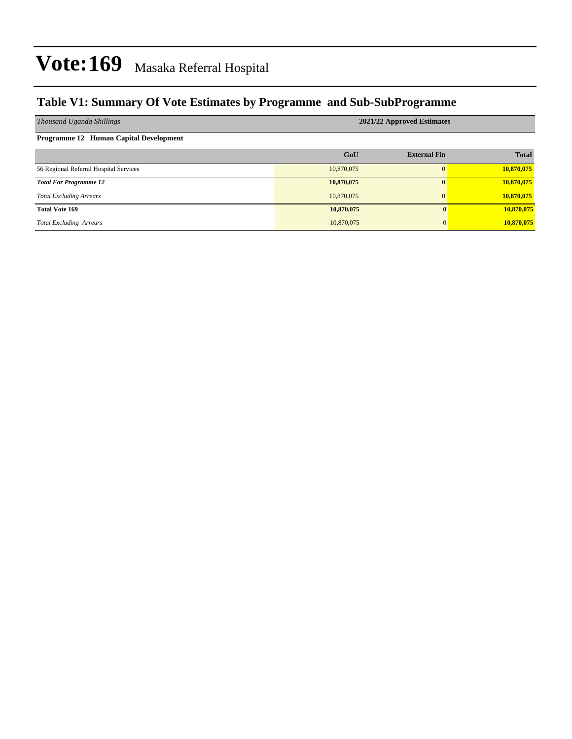### **Table V1: Summary Of Vote Estimates by Programme and Sub-SubProgramme**

| Thousand Uganda Shillings              | 2021/22 Approved Estimates |                     |              |  |  |  |  |  |
|----------------------------------------|----------------------------|---------------------|--------------|--|--|--|--|--|
| Programme 12 Human Capital Development |                            |                     |              |  |  |  |  |  |
|                                        | GoU                        | <b>External Fin</b> | <b>Total</b> |  |  |  |  |  |
| 56 Regional Referral Hospital Services | 10,870,075                 |                     | 10,870,075   |  |  |  |  |  |
| <b>Total For Programme 12</b>          | 10,870,075                 |                     | 10,870,075   |  |  |  |  |  |
| <b>Total Excluding Arrears</b>         | 10,870,075                 | $\Omega$            | 10,870,075   |  |  |  |  |  |
| <b>Total Vote 169</b>                  | 10,870,075                 | 0                   | 10,870,075   |  |  |  |  |  |
| <b>Total Excluding Arrears</b>         | 10,870,075                 | $\overline{0}$      | 10,870,075   |  |  |  |  |  |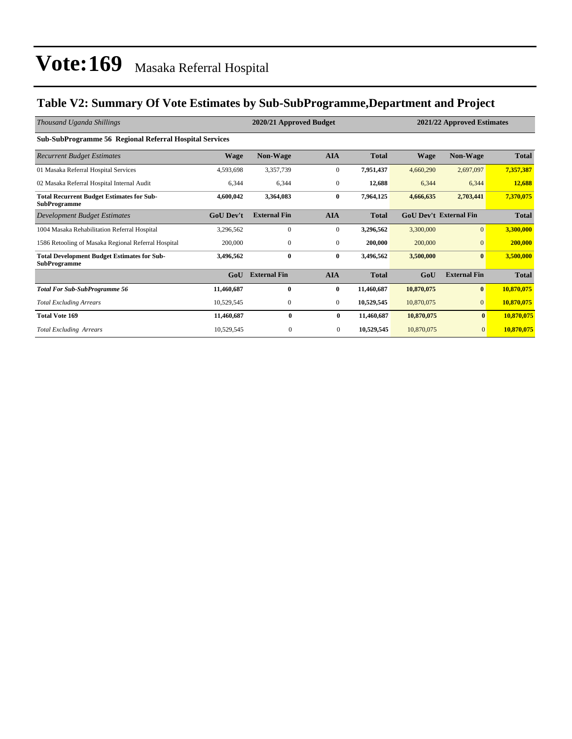### **Table V2: Summary Of Vote Estimates by Sub-SubProgramme,Department and Project**

| Thousand Uganda Shillings                                                 |                  | 2020/21 Approved Budget<br>2021/22 Approved Estimates |                  |              |             |                               |              |
|---------------------------------------------------------------------------|------------------|-------------------------------------------------------|------------------|--------------|-------------|-------------------------------|--------------|
| <b>Sub-SubProgramme 56 Regional Referral Hospital Services</b>            |                  |                                                       |                  |              |             |                               |              |
| <b>Recurrent Budget Estimates</b>                                         | <b>Wage</b>      | <b>Non-Wage</b>                                       | <b>AIA</b>       | <b>Total</b> | <b>Wage</b> | Non-Wage                      | <b>Total</b> |
| 01 Masaka Referral Hospital Services                                      | 4,593,698        | 3,357,739                                             | $\boldsymbol{0}$ | 7,951,437    | 4,660,290   | 2,697,097                     | 7,357,387    |
| 02 Masaka Referral Hospital Internal Audit                                | 6,344            | 6,344                                                 | $\mathbf{0}$     | 12,688       | 6,344       | 6,344                         | 12,688       |
| <b>Total Recurrent Budget Estimates for Sub-</b><br><b>SubProgramme</b>   | 4,600,042        | 3,364,083                                             | 0                | 7,964,125    | 4,666,635   | 2,703,441                     | 7,370,075    |
| Development Budget Estimates                                              | <b>GoU Dev't</b> | <b>External Fin</b>                                   | <b>AIA</b>       | <b>Total</b> |             | <b>GoU Dev't External Fin</b> | <b>Total</b> |
| 1004 Masaka Rehabilitation Referral Hospital                              | 3,296,562        | $\mathbf{0}$                                          | $\mathbf{0}$     | 3,296,562    | 3,300,000   | $\overline{0}$                | 3,300,000    |
| 1586 Retooling of Masaka Regional Referral Hospital                       | 200,000          | $\mathbf{0}$                                          | $\overline{0}$   | 200,000      | 200,000     | $\Omega$                      | 200,000      |
| <b>Total Development Budget Estimates for Sub-</b><br><b>SubProgramme</b> | 3,496,562        | $\bf{0}$                                              | $\bf{0}$         | 3,496,562    | 3,500,000   | $\bf{0}$                      | 3,500,000    |
|                                                                           | GoU              | <b>External Fin</b>                                   | <b>AIA</b>       | <b>Total</b> | GoU         | <b>External Fin</b>           | <b>Total</b> |
| <b>Total For Sub-SubProgramme 56</b>                                      | 11,460,687       | $\mathbf{0}$                                          | $\bf{0}$         | 11,460,687   | 10,870,075  | $\bf{0}$                      | 10,870,075   |
| <b>Total Excluding Arrears</b>                                            | 10,529,545       | 0                                                     | $\overline{0}$   | 10,529,545   | 10,870,075  | $\overline{0}$                | 10,870,075   |
| <b>Total Vote 169</b>                                                     | 11,460,687       | $\bf{0}$                                              | $\bf{0}$         | 11,460,687   | 10,870,075  | $\bf{0}$                      | 10,870,075   |
| <b>Total Excluding Arrears</b>                                            | 10,529,545       | 0                                                     | $\mathbf{0}$     | 10,529,545   | 10,870,075  | $\mathbf{0}$                  | 10,870,075   |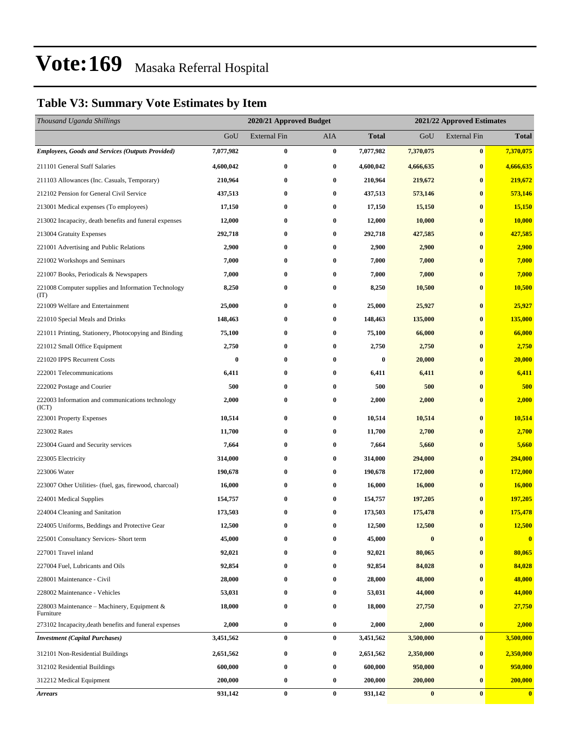### **Table V3: Summary Vote Estimates by Item**

| Thousand Uganda Shillings                                   |           | 2020/21 Approved Budget |            |              | 2021/22 Approved Estimates |                     |              |
|-------------------------------------------------------------|-----------|-------------------------|------------|--------------|----------------------------|---------------------|--------------|
|                                                             | GoU       | <b>External Fin</b>     | <b>AIA</b> | <b>Total</b> | GoU                        | <b>External Fin</b> | <b>Total</b> |
| <b>Employees, Goods and Services (Outputs Provided)</b>     | 7,077,982 | $\bf{0}$                | $\bf{0}$   | 7,077,982    | 7,370,075                  | $\bf{0}$            | 7,370,075    |
| 211101 General Staff Salaries                               | 4,600,042 | $\bf{0}$                | 0          | 4,600,042    | 4,666,635                  | $\bf{0}$            | 4,666,635    |
| 211103 Allowances (Inc. Casuals, Temporary)                 | 210,964   | $\bf{0}$                | $\bf{0}$   | 210,964      | 219,672                    | $\bf{0}$            | 219,672      |
| 212102 Pension for General Civil Service                    | 437,513   | $\bf{0}$                | $\bf{0}$   | 437,513      | 573,146                    | $\bf{0}$            | 573,146      |
| 213001 Medical expenses (To employees)                      | 17,150    | $\bf{0}$                | $\bf{0}$   | 17,150       | 15,150                     | $\bf{0}$            | 15,150       |
| 213002 Incapacity, death benefits and funeral expenses      | 12,000    | $\bf{0}$                | $\bf{0}$   | 12,000       | 10,000                     | $\bf{0}$            | 10,000       |
| 213004 Gratuity Expenses                                    | 292,718   | $\bf{0}$                | 0          | 292,718      | 427,585                    | $\bf{0}$            | 427,585      |
| 221001 Advertising and Public Relations                     | 2,900     | $\bf{0}$                | $\bf{0}$   | 2,900        | 2,900                      | $\bf{0}$            | 2,900        |
| 221002 Workshops and Seminars                               | 7,000     | $\bf{0}$                | $\bf{0}$   | 7,000        | 7,000                      | $\bf{0}$            | 7,000        |
| 221007 Books, Periodicals & Newspapers                      | 7,000     | $\bf{0}$                | $\bf{0}$   | 7,000        | 7,000                      | $\bf{0}$            | 7,000        |
| 221008 Computer supplies and Information Technology<br>(TT) | 8,250     | $\bf{0}$                | $\bf{0}$   | 8,250        | 10,500                     | $\bf{0}$            | 10,500       |
| 221009 Welfare and Entertainment                            | 25,000    | $\bf{0}$                | $\bf{0}$   | 25,000       | 25,927                     | $\bf{0}$            | 25,927       |
| 221010 Special Meals and Drinks                             | 148,463   | $\bf{0}$                | $\bf{0}$   | 148,463      | 135,000                    | $\bf{0}$            | 135,000      |
| 221011 Printing, Stationery, Photocopying and Binding       | 75,100    | 0                       | $\bf{0}$   | 75,100       | 66,000                     | $\bf{0}$            | 66,000       |
| 221012 Small Office Equipment                               | 2,750     | $\bf{0}$                | 0          | 2,750        | 2,750                      | $\bf{0}$            | 2,750        |
| 221020 IPPS Recurrent Costs                                 | $\bf{0}$  | 0                       | $\bf{0}$   | $\bf{0}$     | 20,000                     | $\bf{0}$            | 20,000       |
| 222001 Telecommunications                                   | 6,411     | $\bf{0}$                | $\bf{0}$   | 6,411        | 6,411                      | $\bf{0}$            | 6,411        |
| 222002 Postage and Courier                                  | 500       | $\bf{0}$                | $\bf{0}$   | 500          | 500                        | $\bf{0}$            | 500          |
| 222003 Information and communications technology<br>(ICT)   | 2,000     | $\bf{0}$                | $\bf{0}$   | 2,000        | 2,000                      | $\bf{0}$            | 2,000        |
| 223001 Property Expenses                                    | 10,514    | $\bf{0}$                | $\bf{0}$   | 10,514       | 10,514                     | $\bf{0}$            | 10,514       |
| 223002 Rates                                                | 11,700    | $\bf{0}$                | $\bf{0}$   | 11,700       | 2,700                      | $\bf{0}$            | 2,700        |
| 223004 Guard and Security services                          | 7,664     | 0                       | $\bf{0}$   | 7,664        | 5,660                      | $\bf{0}$            | 5,660        |
| 223005 Electricity                                          | 314,000   | $\bf{0}$                | $\bf{0}$   | 314,000      | 294,000                    | $\bf{0}$            | 294,000      |
| 223006 Water                                                | 190,678   | 0                       | $\bf{0}$   | 190,678      | 172,000                    | $\bf{0}$            | 172,000      |
| 223007 Other Utilities- (fuel, gas, firewood, charcoal)     | 16,000    | 0                       | $\bf{0}$   | 16,000       | 16,000                     | $\bf{0}$            | 16,000       |
| 224001 Medical Supplies                                     | 154,757   | $\bf{0}$                | $\bf{0}$   | 154,757      | 197,205                    | $\bf{0}$            | 197,205      |
| 224004 Cleaning and Sanitation                              | 173,503   | 0                       | $\bf{0}$   | 173,503      | 175,478                    | $\bf{0}$            | 175,478      |
| 224005 Uniforms, Beddings and Protective Gear               | 12,500    | $\bf{0}$                | $\bf{0}$   | 12,500       | 12,500                     | $\bf{0}$            | 12,500       |
| 225001 Consultancy Services- Short term                     | 45,000    | 0                       | $\bf{0}$   | 45,000       | $\boldsymbol{0}$           | $\bf{0}$            | $\bf{0}$     |
| 227001 Travel inland                                        | 92,021    | 0                       | $\bf{0}$   | 92,021       | 80,065                     | $\bf{0}$            | 80,065       |
| 227004 Fuel, Lubricants and Oils                            | 92,854    | $\bf{0}$                | $\bf{0}$   | 92,854       | 84,028                     | $\bf{0}$            | 84,028       |
| 228001 Maintenance - Civil                                  | 28,000    | 0                       | $\bf{0}$   | 28,000       | 48,000                     | $\bf{0}$            | 48,000       |
| 228002 Maintenance - Vehicles                               | 53,031    | $\bf{0}$                | $\bf{0}$   | 53,031       | 44,000                     | $\bf{0}$            | 44,000       |
| 228003 Maintenance – Machinery, Equipment &<br>Furniture    | 18,000    | $\bf{0}$                | $\bf{0}$   | 18,000       | 27,750                     | $\bf{0}$            | 27,750       |
| 273102 Incapacity, death benefits and funeral expenses      | 2,000     | $\bf{0}$                | $\bf{0}$   | 2,000        | 2,000                      | $\bf{0}$            | 2,000        |
| <b>Investment</b> (Capital Purchases)                       | 3,451,562 | $\bf{0}$                | $\bf{0}$   | 3,451,562    | 3,500,000                  | $\bf{0}$            | 3,500,000    |
| 312101 Non-Residential Buildings                            | 2,651,562 | 0                       | $\bf{0}$   | 2,651,562    | 2,350,000                  | $\bf{0}$            | 2,350,000    |
| 312102 Residential Buildings                                | 600,000   | $\bf{0}$                | $\bf{0}$   | 600,000      | 950,000                    | $\bf{0}$            | 950,000      |
| 312212 Medical Equipment                                    | 200,000   | $\bf{0}$                | $\bf{0}$   | 200,000      | 200,000                    | $\bf{0}$            | 200,000      |
| <b>Arrears</b>                                              | 931,142   | $\pmb{0}$               | $\bf{0}$   | 931,142      | $\bf{0}$                   | $\bf{0}$            | $\bf{0}$     |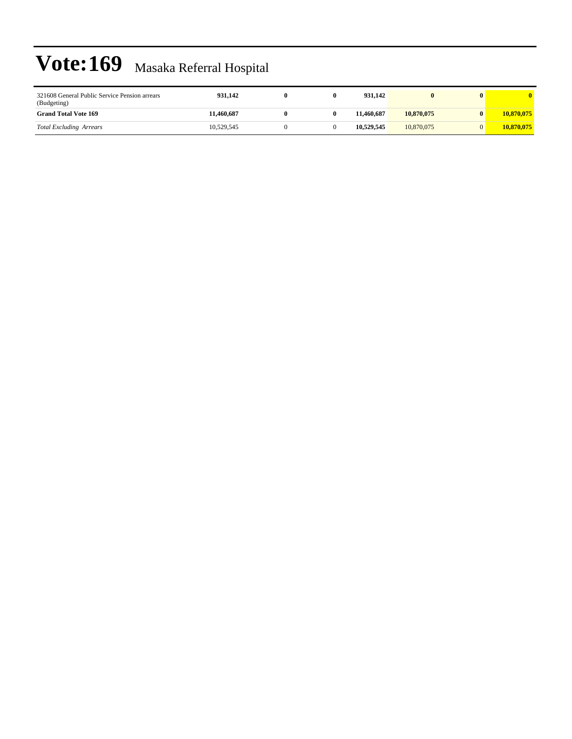| 321608 General Public Service Pension arrears<br>(Budgeting) | 931.142    |  | 931.142    |            |            |
|--------------------------------------------------------------|------------|--|------------|------------|------------|
| <b>Grand Total Vote 169</b>                                  | 11,460,687 |  | 11.460.687 | 10.870,075 | 10,870,075 |
| <b>Total Excluding Arrears</b>                               | 10.529.545 |  | 10.529.545 | 10.870,075 | 10,870,075 |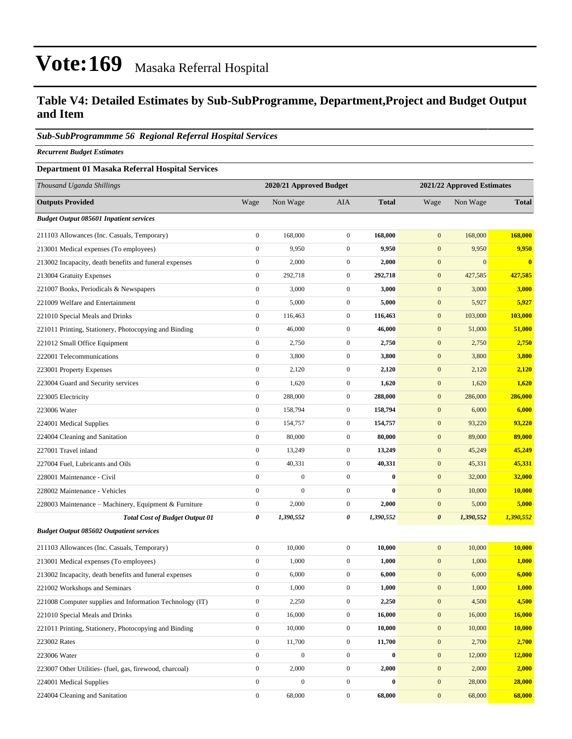### **Table V4: Detailed Estimates by Sub-SubProgramme, Department,Project and Budget Output and Item**

#### *Sub-SubProgrammme 56 Regional Referral Hospital Services*

*Recurrent Budget Estimates*

#### **Department 01 Masaka Referral Hospital Services**

| Thousand Uganda Shillings                                |                  | 2020/21 Approved Budget |                  |              |                       | 2021/22 Approved Estimates |              |
|----------------------------------------------------------|------------------|-------------------------|------------------|--------------|-----------------------|----------------------------|--------------|
| <b>Outputs Provided</b>                                  | Wage             | Non Wage                | AIA              | <b>Total</b> | Wage                  | Non Wage                   | <b>Total</b> |
| <b>Budget Output 085601 Inpatient services</b>           |                  |                         |                  |              |                       |                            |              |
| 211103 Allowances (Inc. Casuals, Temporary)              | $\boldsymbol{0}$ | 168,000                 | $\boldsymbol{0}$ | 168,000      | $\boldsymbol{0}$      | 168,000                    | 168,000      |
| 213001 Medical expenses (To employees)                   | $\boldsymbol{0}$ | 9,950                   | $\mathbf{0}$     | 9,950        | $\mathbf{0}$          | 9,950                      | 9,950        |
| 213002 Incapacity, death benefits and funeral expenses   | $\boldsymbol{0}$ | 2,000                   | $\mathbf{0}$     | 2,000        | $\mathbf{0}$          | $\mathbf{0}$               | $\mathbf{0}$ |
| 213004 Gratuity Expenses                                 | $\boldsymbol{0}$ | 292,718                 | $\mathbf{0}$     | 292,718      | $\mathbf{0}$          | 427,585                    | 427,585      |
| 221007 Books, Periodicals & Newspapers                   | $\boldsymbol{0}$ | 3,000                   | $\boldsymbol{0}$ | 3,000        | $\boldsymbol{0}$      | 3,000                      | 3,000        |
| 221009 Welfare and Entertainment                         | $\boldsymbol{0}$ | 5,000                   | $\boldsymbol{0}$ | 5,000        | $\boldsymbol{0}$      | 5,927                      | 5,927        |
| 221010 Special Meals and Drinks                          | $\boldsymbol{0}$ | 116,463                 | $\mathbf{0}$     | 116,463      | $\mathbf{0}$          | 103,000                    | 103,000      |
| 221011 Printing, Stationery, Photocopying and Binding    | $\boldsymbol{0}$ | 46,000                  | $\mathbf{0}$     | 46,000       | $\boldsymbol{0}$      | 51,000                     | 51,000       |
| 221012 Small Office Equipment                            | $\boldsymbol{0}$ | 2,750                   | $\mathbf{0}$     | 2,750        | $\mathbf{0}$          | 2,750                      | 2,750        |
| 222001 Telecommunications                                | $\boldsymbol{0}$ | 3,800                   | $\boldsymbol{0}$ | 3,800        | $\boldsymbol{0}$      | 3,800                      | 3,800        |
| 223001 Property Expenses                                 | $\boldsymbol{0}$ | 2,120                   | $\boldsymbol{0}$ | 2,120        | $\boldsymbol{0}$      | 2,120                      | 2,120        |
| 223004 Guard and Security services                       | $\boldsymbol{0}$ | 1,620                   | $\mathbf{0}$     | 1,620        | $\mathbf{0}$          | 1,620                      | 1,620        |
| 223005 Electricity                                       | $\boldsymbol{0}$ | 288,000                 | $\mathbf{0}$     | 288,000      | $\boldsymbol{0}$      | 286,000                    | 286,000      |
| 223006 Water                                             | $\boldsymbol{0}$ | 158,794                 | $\mathbf{0}$     | 158,794      | $\mathbf{0}$          | 6,000                      | 6,000        |
| 224001 Medical Supplies                                  | $\boldsymbol{0}$ | 154,757                 | $\boldsymbol{0}$ | 154,757      | $\boldsymbol{0}$      | 93,220                     | 93,220       |
| 224004 Cleaning and Sanitation                           | $\boldsymbol{0}$ | 80,000                  | $\boldsymbol{0}$ | 80,000       | $\boldsymbol{0}$      | 89,000                     | 89,000       |
| 227001 Travel inland                                     | $\boldsymbol{0}$ | 13,249                  | $\mathbf{0}$     | 13,249       | $\mathbf{0}$          | 45,249                     | 45,249       |
| 227004 Fuel, Lubricants and Oils                         | $\boldsymbol{0}$ | 40,331                  | $\mathbf{0}$     | 40,331       | $\boldsymbol{0}$      | 45,331                     | 45,331       |
| 228001 Maintenance - Civil                               | $\boldsymbol{0}$ | $\boldsymbol{0}$        | $\mathbf{0}$     | $\bf{0}$     | $\mathbf{0}$          | 32,000                     | 32,000       |
| 228002 Maintenance - Vehicles                            | $\boldsymbol{0}$ | $\boldsymbol{0}$        | $\mathbf{0}$     | $\bf{0}$     | $\boldsymbol{0}$      | 10,000                     | 10,000       |
| 228003 Maintenance - Machinery, Equipment & Furniture    | $\boldsymbol{0}$ | 2,000                   | $\boldsymbol{0}$ | 2,000        | $\boldsymbol{0}$      | 5,000                      | 5,000        |
| <b>Total Cost of Budget Output 01</b>                    | 0                | 1,390,552               | 0                | 1,390,552    | $\boldsymbol{\theta}$ | 1,390,552                  | 1,390,552    |
| <b>Budget Output 085602 Outpatient services</b>          |                  |                         |                  |              |                       |                            |              |
| 211103 Allowances (Inc. Casuals, Temporary)              | $\boldsymbol{0}$ | 10,000                  | $\mathbf{0}$     | 10,000       | $\boldsymbol{0}$      | 10,000                     | 10,000       |
| 213001 Medical expenses (To employees)                   | $\boldsymbol{0}$ | 1,000                   | $\mathbf{0}$     | 1,000        | $\mathbf{0}$          | 1,000                      | 1,000        |
| 213002 Incapacity, death benefits and funeral expenses   | $\boldsymbol{0}$ | 6,000                   | $\mathbf{0}$     | 6,000        | $\boldsymbol{0}$      | 6,000                      | 6,000        |
| 221002 Workshops and Seminars                            | $\boldsymbol{0}$ | 1,000                   | $\mathbf{0}$     | 1,000        | $\mathbf{0}$          | 1,000                      | 1,000        |
| 221008 Computer supplies and Information Technology (IT) | $\boldsymbol{0}$ | 2,250                   | $\mathbf{0}$     | 2,250        | $\boldsymbol{0}$      | 4,500                      | 4,500        |
| 221010 Special Meals and Drinks                          | $\boldsymbol{0}$ | 16,000                  | $\mathbf{0}$     | 16,000       | $\boldsymbol{0}$      | 16,000                     | 16,000       |
| 221011 Printing, Stationery, Photocopying and Binding    | $\boldsymbol{0}$ | 10,000                  | $\boldsymbol{0}$ | 10,000       | $\boldsymbol{0}$      | 10,000                     | 10,000       |
| 223002 Rates                                             | $\boldsymbol{0}$ | 11,700                  | $\boldsymbol{0}$ | 11,700       | $\boldsymbol{0}$      | 2,700                      | 2,700        |
| 223006 Water                                             | $\boldsymbol{0}$ | $\boldsymbol{0}$        | $\mathbf{0}$     | $\bf{0}$     | $\boldsymbol{0}$      | 12,000                     | 12,000       |
| 223007 Other Utilities- (fuel, gas, firewood, charcoal)  | $\boldsymbol{0}$ | 2,000                   | $\boldsymbol{0}$ | 2,000        | $\boldsymbol{0}$      | 2,000                      | 2,000        |
| 224001 Medical Supplies                                  | $\boldsymbol{0}$ | $\boldsymbol{0}$        | $\boldsymbol{0}$ | $\bf{0}$     | $\boldsymbol{0}$      | 28,000                     | 28,000       |
| 224004 Cleaning and Sanitation                           | $\boldsymbol{0}$ | 68,000                  | $\boldsymbol{0}$ | 68,000       | $\boldsymbol{0}$      | 68,000                     | 68,000       |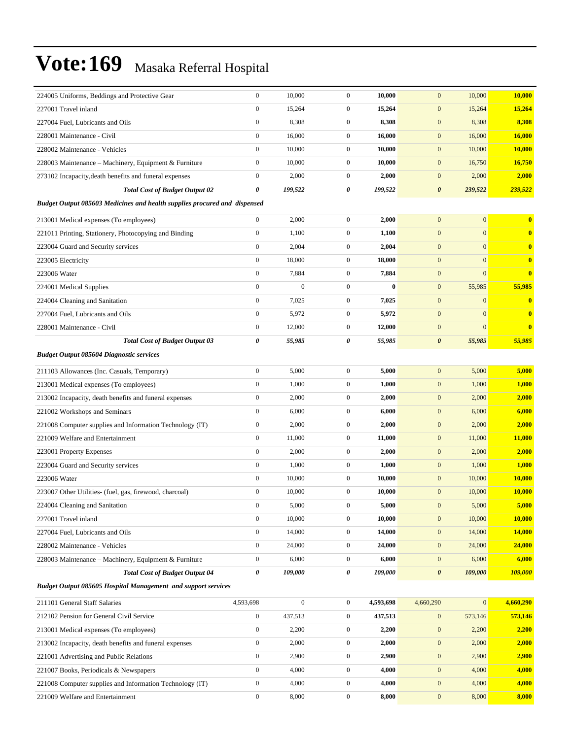| 224005 Uniforms, Beddings and Protective Gear                                    | $\boldsymbol{0}$ | 10,000           | $\boldsymbol{0}$ | 10,000    | $\mathbf{0}$          | 10,000         | 10,000                  |
|----------------------------------------------------------------------------------|------------------|------------------|------------------|-----------|-----------------------|----------------|-------------------------|
| 227001 Travel inland                                                             | $\mathbf{0}$     | 15,264           | $\boldsymbol{0}$ | 15,264    | $\mathbf{0}$          | 15,264         | 15,264                  |
| 227004 Fuel, Lubricants and Oils                                                 | $\boldsymbol{0}$ | 8,308            | $\mathbf{0}$     | 8,308     | $\mathbf{0}$          | 8,308          | 8,308                   |
| 228001 Maintenance - Civil                                                       | $\boldsymbol{0}$ | 16,000           | $\mathbf{0}$     | 16,000    | $\mathbf{0}$          | 16,000         | <b>16,000</b>           |
| 228002 Maintenance - Vehicles                                                    | $\mathbf{0}$     | 10,000           | $\boldsymbol{0}$ | 10,000    | $\mathbf{0}$          | 10,000         | 10,000                  |
| 228003 Maintenance - Machinery, Equipment & Furniture                            | $\boldsymbol{0}$ | 10,000           | $\boldsymbol{0}$ | 10,000    | $\mathbf{0}$          | 16,750         | 16,750                  |
| 273102 Incapacity, death benefits and funeral expenses                           | $\boldsymbol{0}$ | 2,000            | $\boldsymbol{0}$ | 2,000     | $\mathbf{0}$          | 2,000          | 2,000                   |
| <b>Total Cost of Budget Output 02</b>                                            | 0                | 199,522          | 0                | 199,522   | $\boldsymbol{\theta}$ | 239,522        | 239,522                 |
| <b>Budget Output 085603 Medicines and health supplies procured and dispensed</b> |                  |                  |                  |           |                       |                |                         |
| 213001 Medical expenses (To employees)                                           | $\boldsymbol{0}$ | 2,000            | $\boldsymbol{0}$ | 2,000     | $\mathbf{0}$          | $\overline{0}$ | $\bf{0}$                |
| 221011 Printing, Stationery, Photocopying and Binding                            | $\boldsymbol{0}$ | 1,100            | $\boldsymbol{0}$ | 1,100     | $\mathbf{0}$          | $\mathbf{0}$   | $\mathbf{0}$            |
| 223004 Guard and Security services                                               | $\boldsymbol{0}$ | 2,004            | $\boldsymbol{0}$ | 2,004     | $\boldsymbol{0}$      | $\mathbf{0}$   | $\bf{0}$                |
| 223005 Electricity                                                               | $\boldsymbol{0}$ | 18,000           | $\boldsymbol{0}$ | 18,000    | $\mathbf{0}$          | $\mathbf{0}$   | $\bf{0}$                |
| 223006 Water                                                                     | $\boldsymbol{0}$ | 7,884            | $\boldsymbol{0}$ | 7,884     | $\mathbf{0}$          | $\mathbf{0}$   | $\overline{\mathbf{0}}$ |
| 224001 Medical Supplies                                                          | $\mathbf{0}$     | $\boldsymbol{0}$ | $\boldsymbol{0}$ | $\bf{0}$  | $\mathbf{0}$          | 55,985         | 55,985                  |
| 224004 Cleaning and Sanitation                                                   | $\mathbf{0}$     | 7,025            | $\boldsymbol{0}$ | 7,025     | $\mathbf{0}$          | $\mathbf{0}$   | $\mathbf{0}$            |
| 227004 Fuel, Lubricants and Oils                                                 | $\boldsymbol{0}$ | 5,972            | $\boldsymbol{0}$ | 5,972     | $\mathbf{0}$          | $\mathbf{0}$   | $\bf{0}$                |
| 228001 Maintenance - Civil                                                       | $\boldsymbol{0}$ | 12,000           | 0                | 12,000    | $\mathbf{0}$          | $\mathbf{0}$   | $\bf{0}$                |
| <b>Total Cost of Budget Output 03</b>                                            | 0                | 55,985           | 0                | 55,985    | $\boldsymbol{\theta}$ | 55,985         | 55,985                  |
| <b>Budget Output 085604 Diagnostic services</b>                                  |                  |                  |                  |           |                       |                |                         |
| 211103 Allowances (Inc. Casuals, Temporary)                                      | $\boldsymbol{0}$ | 5,000            | $\boldsymbol{0}$ | 5,000     | $\mathbf{0}$          | 5,000          | 5,000                   |
| 213001 Medical expenses (To employees)                                           | $\mathbf{0}$     | 1,000            | $\boldsymbol{0}$ | 1,000     | $\mathbf{0}$          | 1,000          | 1,000                   |
| 213002 Incapacity, death benefits and funeral expenses                           | $\boldsymbol{0}$ | 2,000            | $\boldsymbol{0}$ | 2,000     | $\mathbf{0}$          | 2,000          | 2,000                   |
| 221002 Workshops and Seminars                                                    | $\boldsymbol{0}$ | 6,000            | $\boldsymbol{0}$ | 6,000     | $\mathbf{0}$          | 6,000          | 6,000                   |
| 221008 Computer supplies and Information Technology (IT)                         | $\boldsymbol{0}$ | 2,000            | $\boldsymbol{0}$ | 2,000     | $\mathbf{0}$          | 2,000          | 2,000                   |
| 221009 Welfare and Entertainment                                                 | $\boldsymbol{0}$ | 11,000           | $\boldsymbol{0}$ | 11,000    | $\mathbf{0}$          | 11,000         | <b>11,000</b>           |
| 223001 Property Expenses                                                         | $\mathbf{0}$     | 2,000            | $\boldsymbol{0}$ | 2,000     | $\mathbf{0}$          | 2,000          | 2,000                   |
| 223004 Guard and Security services                                               | $\boldsymbol{0}$ | 1,000            | $\boldsymbol{0}$ | 1,000     | $\mathbf{0}$          | 1,000          | 1,000                   |
| 223006 Water                                                                     | $\boldsymbol{0}$ | 10,000           | $\boldsymbol{0}$ | 10,000    | $\mathbf{0}$          | 10,000         | 10,000                  |
| 223007 Other Utilities- (fuel, gas, firewood, charcoal)                          | $\boldsymbol{0}$ | 10,000           | $\boldsymbol{0}$ | 10,000    | $\mathbf{0}$          | 10,000         | 10,000                  |
| 224004 Cleaning and Sanitation                                                   | $\boldsymbol{0}$ | 5,000            | $\overline{0}$   | 5,000     | $\mathbf{0}$          | 5,000          | 5,000                   |
| 227001 Travel inland                                                             | $\boldsymbol{0}$ | 10,000           | $\boldsymbol{0}$ | 10,000    | $\mathbf{0}$          | 10,000         | 10,000                  |
| 227004 Fuel, Lubricants and Oils                                                 | $\boldsymbol{0}$ | 14,000           | $\boldsymbol{0}$ | 14,000    | $\boldsymbol{0}$      | 14,000         | <b>14,000</b>           |
| 228002 Maintenance - Vehicles                                                    | $\boldsymbol{0}$ | 24,000           | $\boldsymbol{0}$ | 24,000    | $\boldsymbol{0}$      | 24,000         | 24,000                  |
| 228003 Maintenance – Machinery, Equipment & Furniture                            | $\boldsymbol{0}$ | 6,000            | $\boldsymbol{0}$ | 6,000     | $\mathbf{0}$          | 6,000          | 6,000                   |
| <b>Total Cost of Budget Output 04</b>                                            | $\pmb{\theta}$   | 109,000          | 0                | 109,000   | $\boldsymbol{\theta}$ | 109,000        | 109,000                 |
| <b>Budget Output 085605 Hospital Management and support services</b>             |                  |                  |                  |           |                       |                |                         |
| 211101 General Staff Salaries                                                    | 4,593,698        | $\boldsymbol{0}$ | $\boldsymbol{0}$ | 4,593,698 | 4,660,290             | $\mathbf{0}$   | 4,660,290               |
| 212102 Pension for General Civil Service                                         | $\boldsymbol{0}$ | 437,513          | $\boldsymbol{0}$ | 437,513   | $\mathbf{0}$          | 573,146        | 573,146                 |
| 213001 Medical expenses (To employees)                                           | $\boldsymbol{0}$ | 2,200            | $\boldsymbol{0}$ | 2,200     | $\boldsymbol{0}$      | 2,200          | 2,200                   |
| 213002 Incapacity, death benefits and funeral expenses                           | $\boldsymbol{0}$ | 2,000            | $\boldsymbol{0}$ | 2,000     | $\mathbf{0}$          | 2,000          | 2,000                   |
| 221001 Advertising and Public Relations                                          | $\boldsymbol{0}$ | 2,900            | $\boldsymbol{0}$ | 2,900     | $\boldsymbol{0}$      | 2,900          | 2,900                   |
| 221007 Books, Periodicals & Newspapers                                           | $\boldsymbol{0}$ | 4,000            | $\boldsymbol{0}$ | 4,000     | $\boldsymbol{0}$      | 4,000          | 4,000                   |
| 221008 Computer supplies and Information Technology (IT)                         | $\boldsymbol{0}$ | 4,000            | $\boldsymbol{0}$ | 4,000     | $\mathbf{0}$          | 4,000          | 4,000                   |
| 221009 Welfare and Entertainment                                                 | $\boldsymbol{0}$ | 8,000            | $\boldsymbol{0}$ | 8,000     | $\boldsymbol{0}$      | 8,000          | 8,000                   |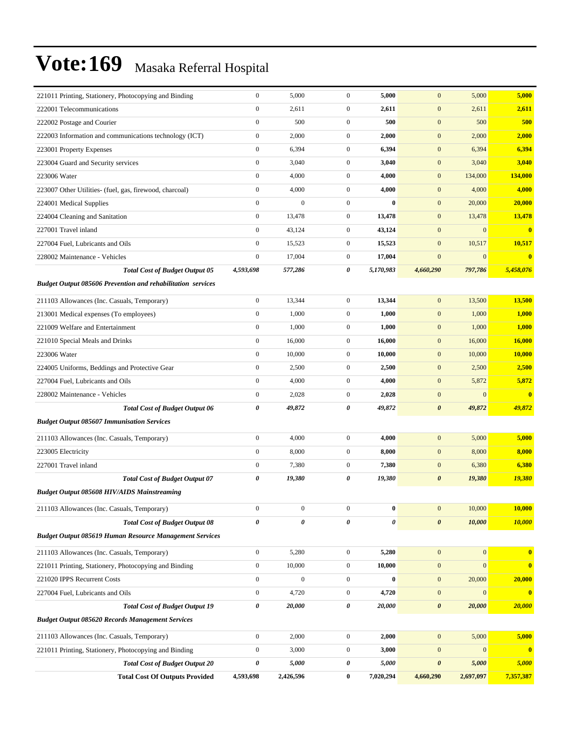| <b>Total Cost Of Outputs Provided</b>                                                                | 4,593,698                            | 2,426,596        | $\bf{0}$                     | 7,020,294           | 4,660,290                     | 2,697,097        | 7,357,387             |
|------------------------------------------------------------------------------------------------------|--------------------------------------|------------------|------------------------------|---------------------|-------------------------------|------------------|-----------------------|
| <b>Total Cost of Budget Output 20</b>                                                                | 0                                    | 5,000            | 0                            | 5,000               | $\boldsymbol{\theta}$         | 5,000            | 5,000                 |
| 221011 Printing, Stationery, Photocopying and Binding                                                | $\boldsymbol{0}$                     | 3,000            | $\boldsymbol{0}$             | 3,000               | $\mathbf{0}$                  | $\mathbf{0}$     | $\mathbf{0}$          |
| 211103 Allowances (Inc. Casuals, Temporary)                                                          | $\boldsymbol{0}$                     | 2,000            | $\boldsymbol{0}$             | 2,000               | $\mathbf{0}$                  | 5,000            | 5,000                 |
| <b>Budget Output 085620 Records Management Services</b>                                              |                                      |                  |                              |                     |                               |                  |                       |
| <b>Total Cost of Budget Output 19</b>                                                                | $\boldsymbol{\theta}$                | 20,000           | 0                            | 20,000              | $\boldsymbol{\theta}$         | 20,000           | 20,000                |
| 227004 Fuel, Lubricants and Oils                                                                     | $\boldsymbol{0}$                     | 4,720            | $\mathbf{0}$                 | 4,720               | $\mathbf{0}$                  | $\mathbf{0}$     | $\bf{0}$              |
| 221020 IPPS Recurrent Costs                                                                          | $\boldsymbol{0}$                     | $\boldsymbol{0}$ | $\boldsymbol{0}$             | $\bf{0}$            | $\mathbf{0}$                  | 20,000           | 20,000                |
| 221011 Printing, Stationery, Photocopying and Binding                                                | $\boldsymbol{0}$                     | 10,000           | $\boldsymbol{0}$             | 10,000              | $\mathbf{0}$                  | $\boldsymbol{0}$ | $\bf{0}$              |
| 211103 Allowances (Inc. Casuals, Temporary)                                                          | $\boldsymbol{0}$                     | 5,280            | $\boldsymbol{0}$             | 5,280               | $\mathbf{0}$                  | $\mathbf{0}$     | $\mathbf{0}$          |
| <b>Budget Output 085619 Human Resource Management Services</b>                                       |                                      |                  |                              |                     |                               |                  |                       |
| <b>Total Cost of Budget Output 08</b>                                                                | $\boldsymbol{\theta}$                | 0                | 0                            | $\pmb{\theta}$      | $\boldsymbol{\theta}$         | 10,000           | 10,000                |
| 211103 Allowances (Inc. Casuals, Temporary)                                                          | $\bf{0}$                             | $\boldsymbol{0}$ | $\boldsymbol{0}$             | $\bf{0}$            | $\bf{0}$                      | 10,000           | 10,000                |
|                                                                                                      |                                      |                  |                              |                     |                               |                  |                       |
| <b>Budget Output 085608 HIV/AIDS Mainstreaming</b>                                                   |                                      |                  |                              |                     |                               |                  |                       |
| <b>Total Cost of Budget Output 07</b>                                                                | 0                                    | 19,380           | 0                            | 19,380              | $\boldsymbol{\theta}$         | 19,380           | 19,380                |
| 227001 Travel inland                                                                                 | $\boldsymbol{0}$                     | 7,380            | $\mathbf{0}$                 | 7,380               | $\mathbf{0}$                  | 6,380            | 6,380                 |
| 211103 Allowances (Inc. Casuals, Temporary)<br>223005 Electricity                                    | $\boldsymbol{0}$                     | 8,000            | $\mathbf{0}$                 | 8,000               | $\mathbf{0}$                  | 8,000            | 8,000                 |
|                                                                                                      | $\boldsymbol{0}$                     | 4,000            | $\overline{0}$               | 4,000               | $\mathbf{0}$                  | 5,000            | 5,000                 |
| <b>Budget Output 085607 Immunisation Services</b>                                                    |                                      |                  |                              |                     |                               |                  |                       |
| <b>Total Cost of Budget Output 06</b>                                                                | 0                                    | 49,872           | 0                            | 49,872              | $\boldsymbol{\theta}$         | 49,872           | 49,872                |
| 228002 Maintenance - Vehicles                                                                        | $\boldsymbol{0}$                     | 2,028            | $\mathbf{0}$                 | 2,028               | $\mathbf{0}$                  | $\boldsymbol{0}$ | $\bf{0}$              |
| 227004 Fuel, Lubricants and Oils                                                                     | $\boldsymbol{0}$                     | 4,000            | $\mathbf{0}$                 | 4,000               | $\mathbf{0}$                  | 5,872            | 5,872                 |
| 224005 Uniforms, Beddings and Protective Gear                                                        | $\boldsymbol{0}$                     | 2,500            | $\mathbf{0}$                 | 2,500               | $\mathbf{0}$                  | 2,500            | 2,500                 |
| 223006 Water                                                                                         | $\mathbf{0}$                         | 10,000           | $\mathbf{0}$                 | 10,000              | $\mathbf{0}$                  | 10,000           | <b>10,000</b>         |
| 221009 Welfare and Entertainment<br>221010 Special Meals and Drinks                                  | $\boldsymbol{0}$<br>$\boldsymbol{0}$ | 1,000<br>16,000  | $\mathbf{0}$<br>$\mathbf{0}$ | 1,000<br>16,000     | $\mathbf{0}$<br>$\mathbf{0}$  | 1,000<br>16,000  | 1,000<br>16,000       |
| 213001 Medical expenses (To employees)                                                               | $\boldsymbol{0}$                     | 1,000            | $\mathbf{0}$                 | 1,000               | $\mathbf{0}$                  | 1,000            | 1,000                 |
| 211103 Allowances (Inc. Casuals, Temporary)                                                          | $\mathbf{0}$                         | 13,344           | $\mathbf{0}$                 | 13,344              | $\mathbf{0}$                  | 13,500           | 13,500                |
|                                                                                                      |                                      |                  |                              |                     |                               |                  |                       |
| <b>Total Cost of Budget Output 05</b><br>Budget Output 085606 Prevention and rehabilitation services |                                      | 577,286          |                              |                     |                               | 797,786          |                       |
| 228002 Maintenance - Vehicles                                                                        | $\boldsymbol{0}$<br>4,593,698        | 17,004           | $\mathbf{0}$<br>0            | 17,004<br>5,170,983 | $\boldsymbol{0}$<br>4,660,290 | $\mathbf{0}$     | $\bf{0}$<br>5,458,076 |
| 227004 Fuel, Lubricants and Oils                                                                     | $\boldsymbol{0}$                     | 15,523           | $\mathbf{0}$                 | 15,523              | $\mathbf{0}$                  | 10,517           | 10,517                |
| 227001 Travel inland                                                                                 | $\boldsymbol{0}$                     | 43,124           | $\mathbf{0}$                 | 43,124              | $\mathbf{0}$                  | $\mathbf{0}$     | $\bf{0}$              |
| 224004 Cleaning and Sanitation                                                                       | $\boldsymbol{0}$                     | 13,478           | $\mathbf{0}$                 | 13,478              | $\mathbf{0}$                  | 13,478           | 13,478                |
| 224001 Medical Supplies                                                                              | $\mathbf{0}$                         | $\boldsymbol{0}$ | $\overline{0}$               | $\bf{0}$            | $\mathbf{0}$                  | 20,000           | 20,000                |
| 223007 Other Utilities- (fuel, gas, firewood, charcoal)                                              | $\boldsymbol{0}$                     | 4,000            | $\overline{0}$               | 4,000               | $\mathbf{0}$                  | 4,000            | 4,000                 |
| 223006 Water                                                                                         | $\boldsymbol{0}$                     | 4,000            | $\mathbf{0}$                 | 4,000               | $\mathbf{0}$                  | 134,000          | 134,000               |
| 223004 Guard and Security services                                                                   | $\boldsymbol{0}$                     | 3,040            | $\mathbf{0}$                 | 3,040               | $\mathbf{0}$                  | 3,040            | 3,040                 |
| 223001 Property Expenses                                                                             | $\boldsymbol{0}$                     | 6,394            | $\mathbf{0}$                 | 6,394               | $\mathbf{0}$                  | 6,394            | 6,394                 |
| 222003 Information and communications technology (ICT)                                               | $\boldsymbol{0}$                     | 2,000            | $\overline{0}$               | 2,000               | $\mathbf{0}$                  | 2,000            | 2,000                 |
| 222002 Postage and Courier                                                                           | $\boldsymbol{0}$                     | 500              | $\overline{0}$               | 500                 | $\mathbf{0}$                  | 500              | 500                   |
| 222001 Telecommunications                                                                            | $\mathbf{0}$                         | 2,611            | $\mathbf{0}$                 | 2,611               | $\mathbf{0}$                  | 2,611            | 2,611                 |
| 221011 Printing, Stationery, Photocopying and Binding                                                | $\boldsymbol{0}$                     | 5,000            | $\mathbf{0}$                 | 5,000               | $\mathbf{0}$                  | 5,000            | 5,000                 |
|                                                                                                      |                                      |                  |                              |                     |                               |                  |                       |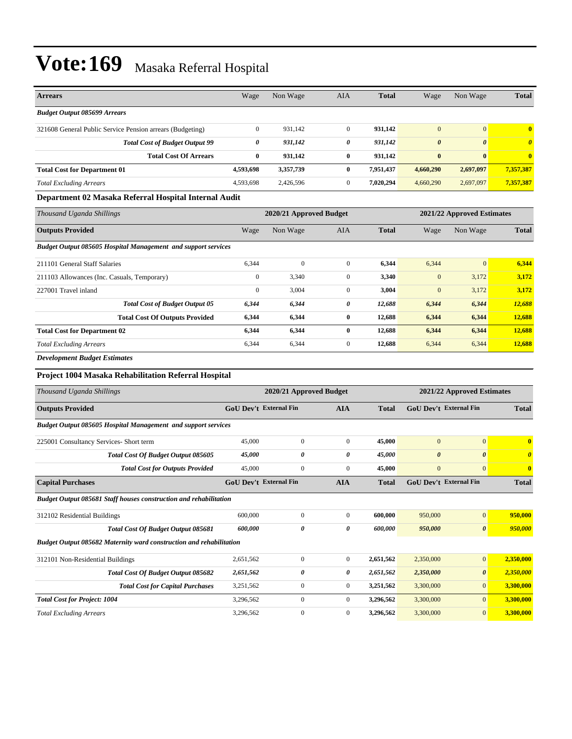| <b>Arrears</b>                                            | Wage         | Non Wage                | <b>AIA</b>   | <b>Total</b> | Wage                  | Non Wage                   | <b>Total</b>          |
|-----------------------------------------------------------|--------------|-------------------------|--------------|--------------|-----------------------|----------------------------|-----------------------|
| <b>Budget Output 085699 Arrears</b>                       |              |                         |              |              |                       |                            |                       |
| 321608 General Public Service Pension arrears (Budgeting) | $\mathbf{0}$ | 931,142                 | $\mathbf{0}$ | 931,142      | $\mathbf{0}$          | $\overline{0}$             | $\mathbf{0}$          |
| <b>Total Cost of Budget Output 99</b>                     | 0            | 931,142                 | 0            | 931,142      | $\boldsymbol{\theta}$ | $\boldsymbol{\theta}$      | $\boldsymbol{\theta}$ |
| <b>Total Cost Of Arrears</b>                              | $\bf{0}$     | 931,142                 | $\bf{0}$     | 931,142      | $\bf{0}$              | $\bf{0}$                   | $\overline{0}$        |
| <b>Total Cost for Department 01</b>                       | 4,593,698    | 3,357,739               | $\bf{0}$     | 7,951,437    | 4,660,290             | 2,697,097                  | 7,357,387             |
| <b>Total Excluding Arrears</b>                            | 4,593,698    | 2,426,596               | $\mathbf{0}$ | 7,020,294    | 4,660,290             | 2,697,097                  | 7,357,387             |
| Department 02 Masaka Referral Hospital Internal Audit     |              |                         |              |              |                       |                            |                       |
| Thousand Uganda Shillings                                 |              | 2020/21 Approved Budget |              |              |                       | 2021/22 Approved Estimates |                       |
| <b>Outputs Provided</b>                                   | Wage         | Non Wage                | <b>AIA</b>   | <b>Total</b> | Wage                  | Non Wage                   | <b>Total</b>          |

| <b>Outputs Provided</b>                                              | Wage         | Non Wage     | AIA          | Total  | Wage         | Non Wage     | Total  |
|----------------------------------------------------------------------|--------------|--------------|--------------|--------|--------------|--------------|--------|
| <b>Budget Output 085605 Hospital Management and support services</b> |              |              |              |        |              |              |        |
| 211101 General Staff Salaries                                        | 6,344        | $\mathbf{0}$ | $\mathbf{0}$ | 6,344  | 6,344        | $\mathbf{0}$ | 6,344  |
| 211103 Allowances (Inc. Casuals, Temporary)                          | $\mathbf{0}$ | 3,340        | $\mathbf{0}$ | 3,340  | $\mathbf{0}$ | 3,172        | 3,172  |
| 227001 Travel inland                                                 | $\mathbf{0}$ | 3,004        | $\mathbf{0}$ | 3,004  | $\mathbf{0}$ | 3,172        | 3,172  |
| <b>Total Cost of Budget Output 05</b>                                | 6,344        | 6,344        | 0            | 12,688 | 6,344        | 6,344        | 12,688 |
| <b>Total Cost Of Outputs Provided</b>                                | 6,344        | 6,344        | $\bf{0}$     | 12,688 | 6,344        | 6,344        | 12,688 |
| <b>Total Cost for Department 02</b>                                  | 6,344        | 6,344        | 0            | 12,688 | 6,344        | 6,344        | 12,688 |
| <b>Total Excluding Arrears</b>                                       | 6,344        | 6,344        | $\mathbf{0}$ | 12,688 | 6,344        | 6,344        | 12,688 |
| <b>DI</b> D <b>DI</b> D                                              |              |              |              |        |              |              |        |

*Development Budget Estimates*

#### **Project 1004 Masaka Rehabilitation Referral Hospital**

| Thousand Uganda Shillings                                            |           | 2020/21 Approved Budget       |                  |              |                       | 2021/22 Approved Estimates    |                         |
|----------------------------------------------------------------------|-----------|-------------------------------|------------------|--------------|-----------------------|-------------------------------|-------------------------|
| <b>Outputs Provided</b>                                              |           | <b>GoU Dev't External Fin</b> | <b>AIA</b>       | <b>Total</b> |                       | <b>GoU</b> Dev't External Fin | <b>Total</b>            |
| <b>Budget Output 085605 Hospital Management and support services</b> |           |                               |                  |              |                       |                               |                         |
| 225001 Consultancy Services- Short term                              | 45,000    | $\mathbf{0}$                  | $\overline{0}$   | 45,000       | $\mathbf{0}$          | $\mathbf{0}$                  | $\overline{\mathbf{0}}$ |
| <b>Total Cost Of Budget Output 085605</b>                            | 45,000    | 0                             | 0                | 45,000       | $\boldsymbol{\theta}$ | $\boldsymbol{\theta}$         | $\theta$                |
| <b>Total Cost for Outputs Provided</b>                               | 45,000    | $\mathbf{0}$                  | $\Omega$         | 45,000       | $\mathbf{0}$          | $\overline{0}$                | $\mathbf{0}$            |
| <b>Capital Purchases</b>                                             |           | <b>GoU Dev't External Fin</b> | <b>AIA</b>       | <b>Total</b> |                       | <b>GoU Dev't External Fin</b> | <b>Total</b>            |
| Budget Output 085681 Staff houses construction and rehabilitation    |           |                               |                  |              |                       |                               |                         |
| 312102 Residential Buildings                                         | 600,000   | $\mathbf{0}$                  | $\overline{0}$   | 600.000      | 950,000               | $\overline{0}$                | 950,000                 |
| Total Cost Of Budget Output 085681                                   | 600.000   | 0                             | 0                | 600,000      | 950,000               | $\boldsymbol{\theta}$         | 950,000                 |
| Budget Output 085682 Maternity ward construction and rehabilitation  |           |                               |                  |              |                       |                               |                         |
| 312101 Non-Residential Buildings                                     | 2,651,562 | $\mathbf{0}$                  | $\boldsymbol{0}$ | 2,651,562    | 2,350,000             | $\overline{0}$                | 2,350,000               |
| Total Cost Of Budget Output 085682                                   | 2,651,562 | 0                             | 0                | 2,651,562    | 2,350,000             | $\boldsymbol{\theta}$         | 2,350,000               |
| <b>Total Cost for Capital Purchases</b>                              | 3,251,562 | $\overline{0}$                | $\overline{0}$   | 3,251,562    | 3,300,000             | $\overline{0}$                | 3,300,000               |
| <b>Total Cost for Project: 1004</b>                                  | 3,296,562 | $\overline{0}$                | $\Omega$         | 3,296,562    | 3,300,000             | $\overline{0}$                | 3,300,000               |
| <b>Total Excluding Arrears</b>                                       | 3,296,562 | $\mathbf{0}$                  | $\mathbf{0}$     | 3,296,562    | 3,300,000             | $\overline{0}$                | 3,300,000               |